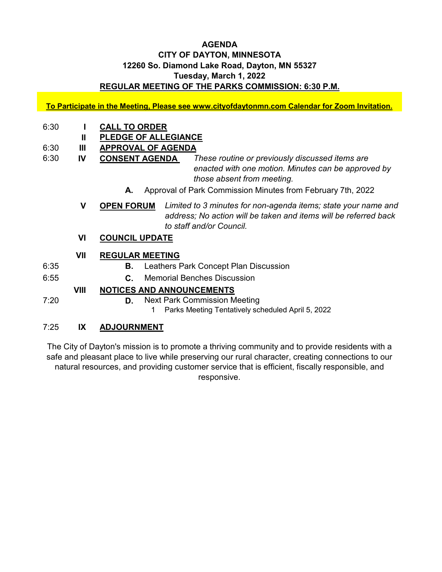### **AGENDA CITY OF DAYTON, MINNESOTA 12260 So. Diamond Lake Road, Dayton, MN 55327 Tuesday, March 1, 2022 REGULAR MEETING OF THE PARKS COMMISSION: 6:30 P.M.**

**To Participate in the Meeting, Please see www.cityofdaytonmn.com Calendar for Zoom Invitation.**

- 6:30 **I CALL TO ORDER**
	- **II PLEDGE OF ALLEGIANCE**
- 6:30 **III APPROVAL OF AGENDA**
- 6:30 **IV CONSENT AGENDA**  *These routine or previously discussed items are enacted with one motion. Minutes can be approved by those absent from meeting.*
	- **A.** Approval of Park Commission Minutes from February 7th, 2022
	- **V OPEN FORUM** *Limited to 3 minutes for non-agenda items; state your name and address; No action will be taken and items will be referred back to staff and/or Council.*
	- **VI COUNCIL UPDATE**
	- **VII REGULAR MEETING**
- 6:35 **B.** Leathers Park Concept Plan Discussion
- 6:55 **C.** Memorial Benches Discussion

## **VIII NOTICES AND ANNOUNCEMENTS**

7:20 **D.** Next Park Commission Meeting

1 Parks Meeting Tentatively scheduled April 5, 2022

# 7:25 **IX ADJOURNMENT**

The City of Dayton's mission is to promote a thriving community and to provide residents with a safe and pleasant place to live while preserving our rural character, creating connections to our natural resources, and providing customer service that is efficient, fiscally responsible, and responsive.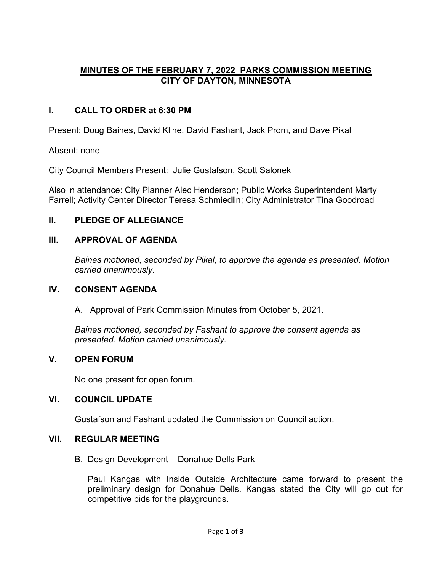# **MINUTES OF THE FEBRUARY 7, 2022 PARKS COMMISSION MEETING CITY OF DAYTON, MINNESOTA**

## **I. CALL TO ORDER at 6:30 PM**

Present: Doug Baines, David Kline, David Fashant, Jack Prom, and Dave Pikal

Absent: none

City Council Members Present: Julie Gustafson, Scott Salonek

Also in attendance: City Planner Alec Henderson; Public Works Superintendent Marty Farrell; Activity Center Director Teresa Schmiedlin; City Administrator Tina Goodroad

### **II. PLEDGE OF ALLEGIANCE**

### **III. APPROVAL OF AGENDA**

*Baines motioned, seconded by Pikal, to approve the agenda as presented. Motion carried unanimously.*

### **IV. CONSENT AGENDA**

A. Approval of Park Commission Minutes from October 5, 2021.

*Baines motioned, seconded by Fashant to approve the consent agenda as presented. Motion carried unanimously.*

### **V. OPEN FORUM**

No one present for open forum.

### **VI. COUNCIL UPDATE**

Gustafson and Fashant updated the Commission on Council action.

### **VII. REGULAR MEETING**

B. Design Development – Donahue Dells Park

Paul Kangas with Inside Outside Architecture came forward to present the preliminary design for Donahue Dells. Kangas stated the City will go out for competitive bids for the playgrounds.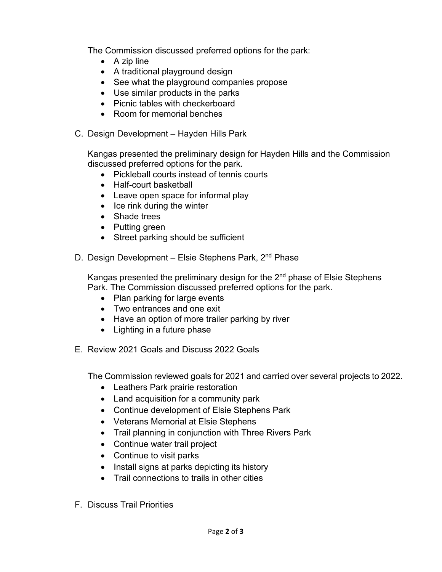The Commission discussed preferred options for the park:

- A zip line
- A traditional playground design
- See what the playground companies propose
- Use similar products in the parks
- Picnic tables with checkerboard
- Room for memorial benches
- C. Design Development Hayden Hills Park

Kangas presented the preliminary design for Hayden Hills and the Commission discussed preferred options for the park.

- Pickleball courts instead of tennis courts
- Half-court basketball
- Leave open space for informal play
- Ice rink during the winter
- Shade trees
- Putting green
- Street parking should be sufficient
- D. Design Development Elsie Stephens Park, 2<sup>nd</sup> Phase

Kangas presented the preliminary design for the  $2<sup>nd</sup>$  phase of Elsie Stephens Park. The Commission discussed preferred options for the park.

- Plan parking for large events
- Two entrances and one exit
- Have an option of more trailer parking by river
- Lighting in a future phase
- E. Review 2021 Goals and Discuss 2022 Goals

The Commission reviewed goals for 2021 and carried over several projects to 2022.

- Leathers Park prairie restoration
- Land acquisition for a community park
- Continue development of Elsie Stephens Park
- Veterans Memorial at Elsie Stephens
- Trail planning in conjunction with Three Rivers Park
- Continue water trail project
- Continue to visit parks
- Install signs at parks depicting its history
- Trail connections to trails in other cities
- F. Discuss Trail Priorities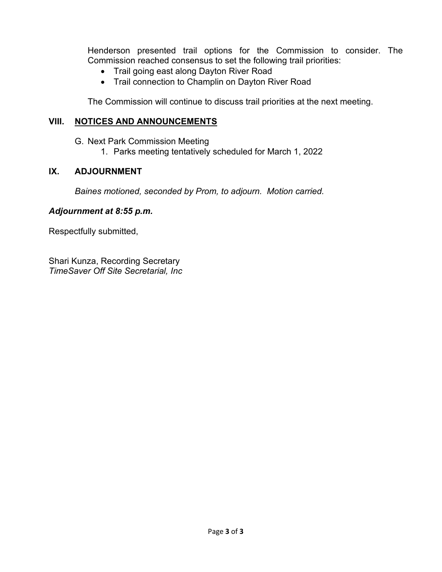Henderson presented trail options for the Commission to consider. The Commission reached consensus to set the following trail priorities:

- Trail going east along Dayton River Road
- Trail connection to Champlin on Dayton River Road

The Commission will continue to discuss trail priorities at the next meeting.

### **VIII. NOTICES AND ANNOUNCEMENTS**

G. Next Park Commission Meeting

1. Parks meeting tentatively scheduled for March 1, 2022

# **IX. ADJOURNMENT**

*Baines motioned, seconded by Prom, to adjourn. Motion carried.*

### *Adjournment at 8:55 p.m.*

Respectfully submitted,

Shari Kunza, Recording Secretary *TimeSaver Off Site Secretarial, Inc*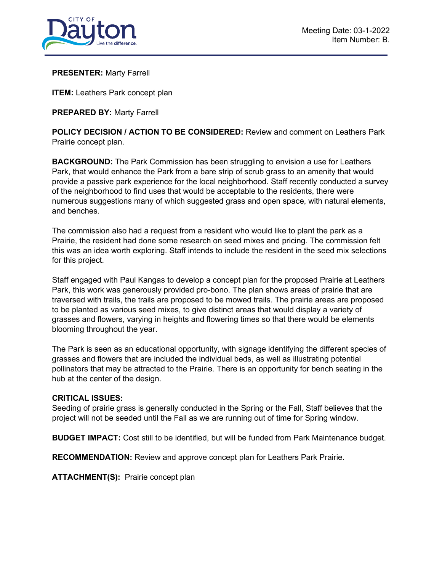

#### **PRESENTER:** Marty Farrell

**ITEM:** Leathers Park concept plan

**PREPARED BY:** Marty Farrell

**POLICY DECISION / ACTION TO BE CONSIDERED:** Review and comment on Leathers Park Prairie concept plan.

**BACKGROUND:** The Park Commission has been struggling to envision a use for Leathers Park, that would enhance the Park from a bare strip of scrub grass to an amenity that would provide a passive park experience for the local neighborhood. Staff recently conducted a survey of the neighborhood to find uses that would be acceptable to the residents, there were numerous suggestions many of which suggested grass and open space, with natural elements, and benches.

The commission also had a request from a resident who would like to plant the park as a Prairie, the resident had done some research on seed mixes and pricing. The commission felt this was an idea worth exploring. Staff intends to include the resident in the seed mix selections for this project.

Staff engaged with Paul Kangas to develop a concept plan for the proposed Prairie at Leathers Park, this work was generously provided pro-bono. The plan shows areas of prairie that are traversed with trails, the trails are proposed to be mowed trails. The prairie areas are proposed to be planted as various seed mixes, to give distinct areas that would display a variety of grasses and flowers, varying in heights and flowering times so that there would be elements blooming throughout the year.

The Park is seen as an educational opportunity, with signage identifying the different species of grasses and flowers that are included the individual beds, as well as illustrating potential pollinators that may be attracted to the Prairie. There is an opportunity for bench seating in the hub at the center of the design.

#### **CRITICAL ISSUES:**

Seeding of prairie grass is generally conducted in the Spring or the Fall, Staff believes that the project will not be seeded until the Fall as we are running out of time for Spring window.

**BUDGET IMPACT:** Cost still to be identified, but will be funded from Park Maintenance budget.

**RECOMMENDATION:** Review and approve concept plan for Leathers Park Prairie.

**ATTACHMENT(S):** Prairie concept plan